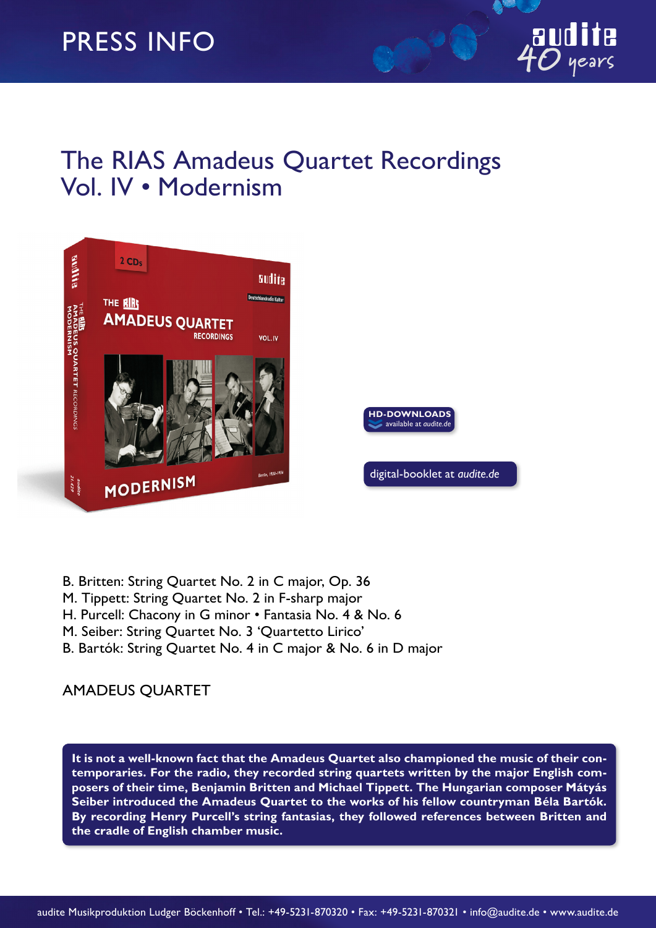## The RIAS Amadeus Quartet Recordings Vol. IV • Modernism



- B. Britten: String Quartet No. 2 in C major, Op. 36
- M. Tippett: String Quartet No. 2 in F-sharp major
- H. Purcell: Chacony in G minor Fantasia No. 4 & No. 6
- M. Seiber: String Quartet No. 3 'Quartetto Lirico'
- B. Bartók: String Quartet No. 4 in C major & No. 6 in D major

## AMADEUS QUARTET

**It is not a well-known fact that the Amadeus Quartet also championed the music of their contemporaries. For the radio, they recorded string quartets written by the major English composers of their time, Benjamin Britten and Michael Tippett. The Hungarian composer Mátyás Seiber introduced the Amadeus Quartet to the works of his fellow countryman Béla Bartók. By recording Henry Purcell's string fantasias, they followed references between Britten and the cradle of English chamber music.**